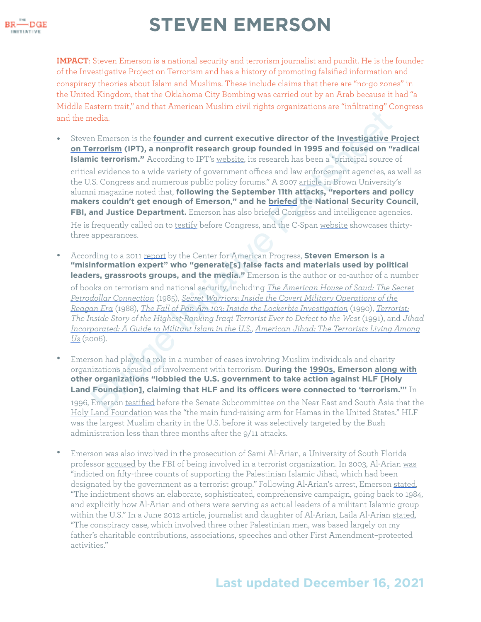

**IMPACT**: Steven Emerson is a national security and terrorism journalist and pundit. He is the founder of the Investigative Project on Terrorism and has a history of promoting falsified information and conspiracy theories about Islam and Muslims. These include claims that there are "no-go zones" in the United Kingdom, that the Oklahoma City Bombing was carried out by an Arab because it had "a Middle Eastern trait," and that American Muslim civil rights organizations are "infiltrating" Congress and the media.

- Steven Emerson is the **founder and current executive director of the Investigative Project [on Terrorism](https://islamophobianetwork.com/organization/investigative-project-on-terrorism/) (IPT), a nonprofit research group founded in 1995 and focused on "radical Islamic terrorism."** According to IPT's website, its research has been a "principal source of critical evidence to a wide variety of government offices and law enforcement agencies, as well as the U.S. Congress and numerous public policy forums." A 2007 article in Brown University's alumni magazine noted that, **following the September 11th attacks, "reporters and policy makers couldn't get enough of Emerson," and he briefed the National Security Council, FBI, and Justice Department.** Emerson has also briefed Congress and intelligence agencies. He is frequently called on to testify before Congress, and the C-Span website showcases thirtythree appearances. nedia.<br>
an Emerson is the founder and current executive director of the Investigative Irrerism (IPT), a nonprofit research group founded in 1995 and focused on "<br>
ic terrorism "According to IPT" website. Its research has b
- According to a 2011 report by the Center for American Progress, **Steven Emerson is a "misinformation expert" who "generate[s] false facts and materials used by political leaders, grassroots groups, and the media."** Emerson is the author or co-author of a number of books on terrorism and national security, including *The American House of Saud: The Secret [Petrodollar Connection](https://www.amazon.com/American-House-Saud-Petrodollar-Connection/dp/0531097781)* (1985), *Secret Warriors: Inside the Covert Military Operations of the [Reagan Era](https://www.amazon.com/Secret-Warriors-Inside-Military-Operations/dp/0399133607)* (1988), *[The Fall of Pan Am 103: Inside the Lockerbie Investigation](https://www.amazon.com/Fall-Pan-Am-103-Lockerbie-Investigation/dp/0708883478)* (1990), *[Terrorist:](https://www.amazon.com/Terrorist-Inside-Story-Highest-Ranking-Defect/dp/0679737014)  [The Inside Story of the Highest-Ranking Iraqi Terrorist Ever to Defect to the West](https://www.amazon.com/Terrorist-Inside-Story-Highest-Ranking-Defect/dp/0679737014)* (1991), and *[Jihad](https://www.amazon.com/Jihad-Incorporated-Guide-Militant-Islam/dp/1591024536)  [Incorporated: A Guide to Militant Islam in the U.S.](https://www.amazon.com/Jihad-Incorporated-Guide-Militant-Islam/dp/1591024536)*, *American Jihad: The Terrorists Living Among [Us](https://www.amazon.com/American-Jihad-Terrorists-Living-Among/dp/0743234359)* (2006).
- Emerson had played a role in a number of cases involving Muslim individuals and charity organizations accused of involvement with terrorism. **During the 1990s, Emerson [along with](https://bridge.georgetown.edu/research/factsheet-holy-land-foundation/) other organizations "lobbied the U.S. government to take action against HLF [Holy Land Foundation], claiming that HLF and its officers were connected to 'terrorism.'"** In 1996, Emerson testified before the Senate Subcommittee on the Near East and South Asia that the [Holy Land Foundation](https://bridge.georgetown.edu/research/factsheet-holy-land-foundation/) was the "the main fund-raising arm for Hamas in the United States." HLF was the largest Muslim charity in the U.S. before it was selectively targeted by the Bush administration less than three months after the 9/11 attacks.
- Emerson was also involved in the prosecution of Sami Al-Arian, a University of South Florida professor [accused](https://edition.cnn.com/2003/US/South/02/20/professor.arrest/) by the FBI of being involved in a terrorist organization. In 2003, Al-Arian [was](https://www.thenation.com/article/archive/when-your-father-accused-terrorism/) "indicted on fifty-three counts of supporting the Palestinian Islamic Jihad, which had been designated by the government as a terrorist group." Following Al-Arian's arrest, Emerson [stated,](https://web.archive.org/web/20150403104658/http://www.nytimes.com/2003/02/21/national/21PROF.html?pagewanted=1) "The indictment shows an elaborate, sophisticated, comprehensive campaign, going back to 1984, and explicitly how Al-Arian and others were serving as actual leaders of a militant Islamic group within the U.S." In a June 2012 article, journalist and daughter of Al-Arian, Laila Al-Arian [stated](https://www.thenation.com/article/archive/when-your-father-accused-terrorism/), "The conspiracy case, which involved three other Palestinian men, was based largely on my father's charitable contributions, associations, speeches and other First Amendment–protected activities."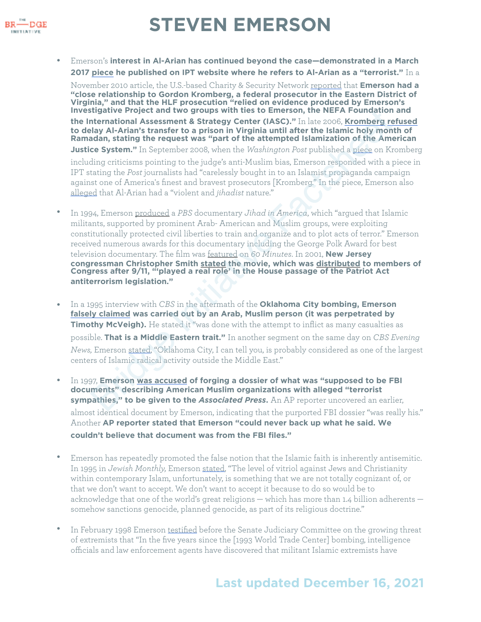

• Emerson's **interest in Al-Arian has continued beyond the case—demonstrated in a March 2017 [piece](https://www.investigativeproject.org/5913/georgetown-university-and-radical-islamists-it) he published on IPT website where he refers to Al-Arian as a "terrorist."** In a

November 2010 article, the U.S.-based Charity & Security Network [reported](https://charityandsecurity.org/blog/experts_at_fear_mongering/) that **Emerson had a "close relationship to Gordon Kromberg, a federal prosecutor in the Eastern District of Virginia," and that the HLF prosecution "relied on evidence produced by Emerson's Investigative Project and two groups with ties to Emerson, the NEFA Foundation and the International Assessment & Strategy Center (IASC)."** In late 2006, **Kromberg [refused](https://www.wrmea.org/007-april/assistant-u.s.-attorney-gordon-kromberg-displays-anti-arab-anti-muslim-bias.html)**

**to delay Al-Arian's transfer to a prison in Virginia until after the Islamic holy month of Ramadan, stating the request was "part of the attempted Islamization of the American** 

**Justice System."** In September 2008, when the *Washington Post* published a piece on Kromberg

including criticisms pointing to the judge's anti-Muslim bias, Emerson responded with a piece in IPT stating the *Post* journalists had "carelessly bought in to an Islamist propaganda campaign against one of America's finest and bravest prosecutors [Kromberg." In the piece, Emerson also [alleged](https://www.investigativeproject.org/771/washington-post-reporter-puts-target-on-prosecutors-back) that Al-Arian had a "violent and *jihadist* nature."

- In 1994, Emerson produced a *PBS* documentary *Jihad in America*, which "argued that Islamic militants, supported by prominent Arab- American and Muslim groups, were exploiting constitutionally protected civil liberties to train and organize and to plot acts of terror." Emerson received numerous awards for this documentary including the George Polk Award for best television documentary. The film was featured on *60 Minutes*. In 2001, **New Jersey congressman Christopher Smith stated the movie, which was distributed to members of Congress after 9/11, "'played a real role' in the House passage of the Patriot Act antiterrorism legislation."** uter Propert an[d](https://fair.org/extra/steven-emersons-crusade/) Wo [g](https://www.cairoklahoma.com/wp-content/uploads/2016/07/1995-A_rush_to_judgement.pdf)roups wunt uss to enters one, in were the re[a](https://www.brownalumnimagazine.com/articles/2007-06-29/one-mans-war-on-terror)r Proundational Assessment & Strategy Center (IASC).<sup>*n*</sup> In liet 2006, Kromberg redation, all a Al-Arian's transfer to a prison in Virginia utili after the
- In a 1995 interview with *CBS* in the aftermath of the **Oklahoma City bombing, Emerson [falsely claimed](https://www.commondreams.org/views/2008/10/14/islamofascism-awareness-week-anti-muslim-smearcasting-campus) was carried out by an Arab, Muslim person (it was perpetrated by Timothy McVeigh).** He stated it "was done with the attempt to inflict as many casualties as possible. **That is a Middle Eastern trait."** In another segment on the same day on *CBS Evening News,* Emerson stated, "Oklahoma City, I can tell you, is probably considered as one of the largest centers of Islamic radical activity outside the Middle East."
- In 1997, **Emerson was accused of forging a dossier of what was "supposed to be FBI documents" describing American Muslim organizations with alleged "terrorist sympathies," to be given to the** *Associated Press***.** An AP reporter uncovered an earlier, almost identical document by Emerson, indicating that the purported FBI dossier "was really his." Another **AP reporter stated that Emerson "could never back up what he said. We couldn't believe that document was from the FBI files."**
- Emerson has repeatedly promoted the false notion that the Islamic faith is inherently antisemitic. In 1995 in *Jewish Monthly,* Emerson [stated](https://fair.org/extra/steven-emersons-crusade/), "The level of vitriol against Jews and Christianity within contemporary Islam, unfortunately, is something that we are not totally cognizant of, or that we don't want to accept. We don't want to accept it because to do so would be to acknowledge that one of the world's great religions — which has more than 1.4 billion adherents somehow sanctions genocide, planned genocide, as part of its religious doctrine."
- In February 1998 Emerson [testified](http://geocities.ws/johnathanrgalt/emerson.html) before the Senate Judiciary Committee on the growing threat of extremists that "In the five years since the [1993 World Trade Center] bombing, intelligence officials and law enforcement agents have discovered that militant Islamic extremists have

### **Last updated December 16, 2021**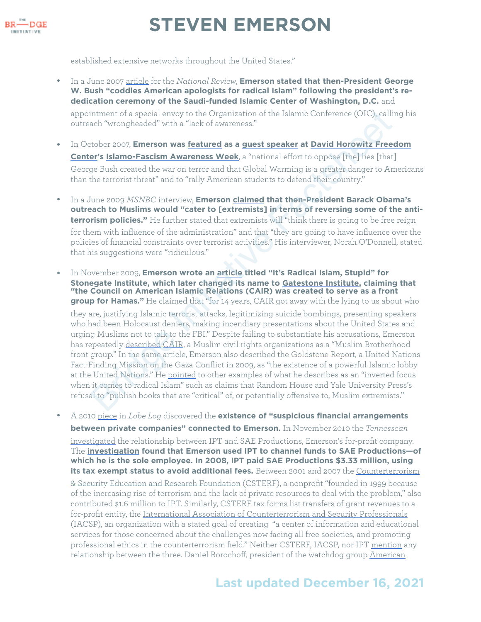

established extensive networks throughout the United States."

• In a June 2007 [article](https://web.archive.org/save/https://www.nationalreview.com/2007/06/radical-outreach-steve-emerson/) for the *National Review*, **Emerson stated that then-President George W. Bush "coddles American apologists for radical Islam" following the president's rededication ceremony of the Saudi-funded Islamic Center of Washington, D.C.** and

appointment of a special envoy to the Organization of the Islamic Conference (OIC), calling his outreach "wrongheaded" with a "lack of awareness."

- In October 2007, **Emerson was featured as a guest speaker at David Horowitz Freedom [Center](https://bridge.georgetown.edu/research/factsheet-david-horowitz-freedom-center/)'s Islamo-Fascism Awareness Week**, a "national effort to oppose [the] lies [that] George Bush created the war on terror and that Global Warming is a greater danger to Americans than the terrorist threat" and to "rally American students to defend their country."
- In a June 2009 *MSNBC* interview, **Emerson claimed that then-President Barack Obama's outreach to Muslims would "cater to [extremists] in terms of reversing some of the antiterrorism policies."** He further stated that extremists will "think there is going to be free reign for them with influence of the administration" and that "they are going to have influence over the policies of financial constraints over terrorist activities." His interviewer, Norah O'Donnell, stated that his suggestions were "ridiculous."
- In November 2009, **Emerson wrote an article titled "It's Radical Islam, Stupid" for Stonegate Institute, which later changed its name to Gatestone Institute, claiming that "the Council on American Islamic Relations (CAIR) was created to serve as a front group for Hamas."** He claimed that "for 14 years, CAIR got away with the lying to us about who they are, justifying Islamic terrorist attacks, legitimizing suicide bombings, presenting speakers who had been Holocaust deniers, making incendiary presentations about the United States and urging Muslims not to talk to the FBI." Despite failing to substantiate his accusations, Emerson has repeatedly described CAIR, a Muslim civil rights organizations as a "Muslim Brotherhood front group." In the same article, Emerson also described the Goldstone Report, a United Nations Fact-Finding Mission on the Gaza Conflict in 2009, as "the existence of a powerful Islamic lobby at the United Nations." He pointed to other examples of what he describes as an "inverted focus when it comes to radical Islam" such as claims that Random House and Yale University Press's refusal to "publish books that are "critical" of, or potentially offensive to, Muslim extremists." intment of a special envoy to the Or[g](https://web.archive.org/web/20160813221830/http://www.foxnews.com/opinion/2015/01/07/will-ever-learn-obama-white-house-cant-admit-paris-attacks-islamic-terrorism.html)anization of th[e](https://www.cair.com/) Islamic Conference (OIC), calling the the state of swareness."<br>
stephenomy and "also factstreeness."<br>
stephenomy and "also factstreeness."<br>
stephenomy and the state of
- A 2010 [piece](https://archive.thinkprogress.org/meet-an-islamophobia-network-expert-steven-emerson-52f4dad98b29/) in *Lobe Log* discovered the **existence of "suspicious financial arrangements between private companies" connected to Emerson.** In November 2010 the *Tennessean*  [investigated](https://eu.tennessean.com/story/news/local/2010/10/24/antimuslim-crusaders-make-millions-spreading-fear/28936467/) the relationship between IPT and SAE Productions, Emerson's for-profit company. The **[investigation](https://archive.thinkprogress.org/new-report-exposes-anti-islam-charlatans-a7ac95b3b00d/) found that Emerson used IPT to channel funds to SAE Productions—of which he is the sole employee. In 2008, IPT paid SAE Productions \$3.33 million, using its tax exempt status to avoid additional fees.** Between 2001 and 2007 the Counterterrorism [& Security Education and Research Foundation](http://web.archive.org/web/20110807220333/http://www.ctserf.org/%23) (CSTERF), a nonprofit "founded in 1999 because of the increasing rise of terrorism and the lack of private resources to deal with the problem," also contributed \$1.6 million to IPT. Similarly, CSTERF tax forms list transfers of grant revenues to a for-profit entity, the [International Association of Counterterrorism and Security Professionals](http://www.iacsp.com/about.php) (IACSP), an organization with a stated goal of creating "a center of information and educational services for those concerned about the challenges now facing all free societies, and promoting professional ethics in the counterterrorism field." Neither CSTERF, IACSP, nor IPT [mention](https://www.americanprogress.org/wp-content/uploads/issues/2011/08/pdf/islamophobia.pdf) any relationship between the three. Daniel Borochoff, president of the watchdog group [American](http://www.charitywatch.org/)

#### **Last updated December 16, 2021**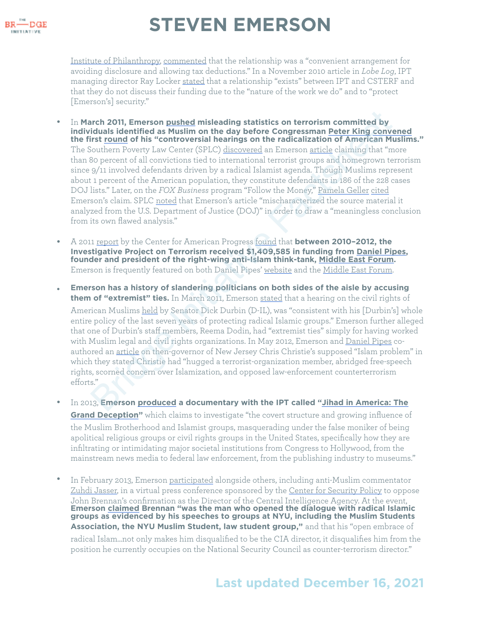

[Institute of Philanthropy,](http://www.charitywatch.org/) [commented](http://lobelog.com/more-insights-into-steven-emersons-tangled-funding-web/) that the relationship was a "convenient arrangement for avoiding disclosure and allowing tax deductions." In a November 2010 article in *Lobe Log*, IPT managing director Ray Locker [stated](http://lobelog.com/more-insights-into-steven-emersons-tangled-funding-web/) that a relationship "exists" between IPT and CSTERF and that they do not discuss their funding due to the "nature of the work we do" and to "protect [Emerson's] security."

- In **March 2011, Emerson pushed misleading statistics on terrorism committed by individuals identified as Muslim on the day before Congressman Peter King [convened](https://www.splcenter.org/hatewatch/2011/03/08/why-are-peter-king%25E2%2580%2599s-hearings-so-loathsome-let-us-count-ways) the first round of his "controversial hearings on the radicalization of American Muslims."** The Southern Poverty Law Center (SPLC) discovered an Emerson article claiming that "more than 80 percent of all convictions tied to international terrorist groups and homegrown terrorism since 9/11 involved defendants driven by a radical Islamist agenda. Though Muslims represent about 1 percent of the American population, they constitute defendants in 186 of the 228 cases DOJ lists." Later, on the *FOX Business* program "Follow the Money," Pamela Geller cited Emerson's claim. SPLC noted that Emerson's article "mischaracterized the source material it analyzed from the U.S. Department of Justice (DOJ)" in order to draw a "meaningless conclusion from its own flawed analysis." arch 2011, Emerson <u>pushed</u> misleading statistics on terrorism committed by<br>
iduals identified as Muslim on the day before Congressman Peter King con[ve](https://islamophobianetwork.com/misinformation-expert/steven-emerson/)rt<br>
is tround of [h](http://www.nydailynews.com/opinions/2011/03/10/2011-03-10_muslim_american_groups_not_rep_pete_king_are_the_ones_fomenting_hysteria.html)is "controversial hearings on the radicalization of A
- A 2011 report by the Center for American Progress found that **between 2010–2012, the Investigative Project on Terrorism received \$1,409,585 in funding from Daniel Pipes, founder and president of the right-wing anti-Islam think-tank, Middle East Forum.**  Emerson is frequently featured on both Daniel Pipes' [website](http://www.danielpipes.org/search.php?cx=015692155655874064424%253Asmatd4mj-v4&cof=FORID%253A9&ie=UTF-8&q=Emerson&sa.x=0&sa.y=0&sa=Search) and the [Middle East Forum.](https://www.meforum.org/search.php?cx=partner-pub-2951801646144412%253Ap24ltemdv6f&cof=FORID%253A9&ie=UTF-8&q=steve+emerson&sa=Search%23gsc.tab=0&gsc.q=steve%2520emerson&gsc.page=1)
- **Emerson has a history of slandering politicians on both sides of the aisle by accusing them of "extremist" ties.** In March 2011, Emerson stated that a hearing on the civil rights of American Muslims held by Senator Dick Durbin (D-IL), was "consistent with his [Durbin's] whole entire policy of the last seven years of protecting radical Islamic groups." Emerson further alleged that one of Durbin's staff members, Reema Dodin, had "extremist ties" simply for having worked with Muslim legal and civil rights organizations. In May 2012, Emerson and Daniel Pipes coauthored an article on then-governor of New Jersey Chris Christie's supposed "Islam problem" in which they stated Christie had "hugged a terrorist-organization member, abridged free-speech rights, scorned concern over Islamization, and opposed law-enforcement counterterrorism efforts."
- In 2013, **Emerson produced a documentary with the IPT called "Jihad in Americ[a: The](https://www.amazon.com/Jihad-America-Grand-Deception-Various/dp/B009S93GQE)  [Grand Deception](https://www.amazon.com/Jihad-America-Grand-Deception-Various/dp/B009S93GQE)"** which claims to investigate "the covert structure and growing influence of the Muslim Brotherhood and Islamist groups, masquerading under the false moniker of being apolitical religious groups or civil rights groups in the United States, specifically how they are infiltrating or intimidating major societal institutions from Congress to Hollywood, from the mainstream news media to federal law enforcement, from the publishing industry to museums."
- In February 2013, Emerson [participated](https://www.centerforsecuritypolicy.org/2013/02/27/national-security-experts-warn-reject-brennan/) alongside others, including anti-Muslim commentator [Zuhdi Jasser,](https://bridge.georgetown.edu/research/factsheet-zuhdi-jasser/) in a virtual press conference sponsored by the [Center for Security Policy](https://bridge.georgetown.edu/research/factsheet-center-for-security-policy/) to oppose John Brennan's confirmation as the Director of the Central Intelligence Agency. At the event, **Emerson [claimed](https://www.centerforsecuritypolicy.org/2013/02/27/national-security-experts-warn-reject-brennan/) Brennan "was the man who opened the dialogue with radical Islamic groups as evidenced by his speeches to groups at NYU, including the Muslim Students Association, the NYU Muslim Student, law student group,"** and that his "open embrace of radical Islam...not only makes him disqualified to be the CIA director, it disqualifies him from the position he currently occupies on the National Security Council as counter-terrorism director."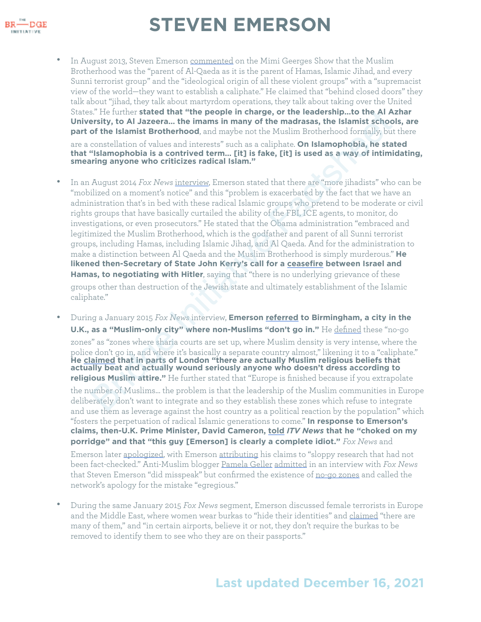

- In August 2013, Steven Emerson [commented](https://youtu.be/EMbBuEotzK8?t=58) on the Mimi Geerges Show that the Muslim Brotherhood was the "parent of Al-Qaeda as it is the parent of Hamas, Islamic Jihad, and every Sunni terrorist group" and the "ideological origin of all these violent groups" with a "supremacist view of the world—they want to establish a caliphate." He claimed that "behind closed doors" they talk about "jihad, they talk about martyrdom operations, they talk about taking over the United States." He further **stated that "the people in charge, or the leadership…to the Al Azhar University, to Al Jazeera… the imams in many of the madrasas, the Islamist schools, are part of the Islamist Brotherhood**, and maybe not the Muslim Brotherhood formally, but there are a constellation of values and interests" such as a caliphate. **On Islamophobia, he stated that "Islamophobia is a contrived term… [it] is fake, [it] is used as a way of intimidating, smearing anyone who criticizes radical Islam."**
- In an August 2014 *Fox News* interview, Emerson stated that there are "more jihadists" who can be "mobilized on a moment's notice" and this "problem is exacerbated by the fact that we have an administration that's in bed with these radical Islamic groups who pretend to be moderate or civil rights groups that have basically curtailed the ability of the FBI, ICE agents, to monitor, do investigations, or even prosecutors." He stated that the Obama administration "embraced and legitimized the Muslim Brotherhood, which is the godfather and parent of all Sunni terrorist groups, including Hamas, including Islamic Jihad, and Al Qaeda. And for the administration to make a distinction between Al Qaeda and the Muslim Brotherhood is simply murderous." **He likened then-Secretary of State John Kerry's call for a ceasefire between Israel and Hamas, to negotiating with Hitler**, saying that "there is no underlying grievance of these groups other than destruction of the Jewish state and ultimately establishment of the Islamic caliphate." s." He lurther stated that "the people in charge, or the leadership...to the Al A J<br>energity, to Al Jazeera.... the imms in many of the madrasas, the Islamist schoof<br>of the Islamist Brotherhood, and maybe not the Muslim Br
- During a January 2015 *Fox News* interview, **Emerson referred to Birmingham, a city in the U.K., as a "Muslim-only city" where non-Muslims "don't go in."** He defined these "no-go zones" as "zones where sharia courts are set up, where Muslim density is very intense, where the police don't go in, and where it's basically a separate country almost," likening it to a "caliphate." **He claimed that in parts of London "there are actually Muslim religious beliefs that actually beat and actually wound seriously anyone who doesn't dress according to religious Muslim attire."** He further stated that "Europe is finished because if you extrapolate the number of Muslims… the problem is that the leadership of the Muslim communities in Europe deliberately don't want to integrate and so they establish these zones which refuse to integrate and use them as leverage against the host country as a political reaction by the population" which "fosters the perpetuation of radical Islamic generations to come." **In response to Emerson's claims, then-U.K. Prime Minister, David Cameron, [told](http://www.itv.com/news/central/update/2015-01-12/prime-minister-steven-emerson-is-clearly-an-idiot/)** *ITV News* **that he "choked on my porridge" and that "this guy [Emerson] is clearly a complete idiot."** *Fox News* and Emerson later [apologized](https://www.nytimes.com/2015/01/13/world/europe/twitter-users-react-with-glee-to-fox-news-claim-on-birmingham.html), with Emerson [attributing](https://www.youtube.com/watch?v=6u1zxtbhyEg) his claims to "sloppy research that had not been fact-checked." Anti-Muslim blogger [Pamela Geller](https://bridge.georgetown.edu/research/factsheet-pamela-geller-2/) [admitted](http://www.rightwingwatch.org/post/pamela-geller-fox-apology-egregious-there-are-absolutely-no-go-zones/) in an interview with *Fox News*  that Steven Emerson "did misspeak" but confirmed the existence of [no-go zones](https://bridge.georgetown.edu/research/factsheet-no-go-zone-conspiracy-theory/) and called the network's apology for the mistake "egregious."
- During the same January 2015 *Fox News* segment, Emerson discussed female terrorists in Europe and the Middle East, where women wear burkas to "hide their identities" and [claimed](https://youtu.be/Em0eXxW3Gw4?t=197) "there are many of them," and "in certain airports, believe it or not, they don't require the burkas to be removed to identify them to see who they are on their passports."